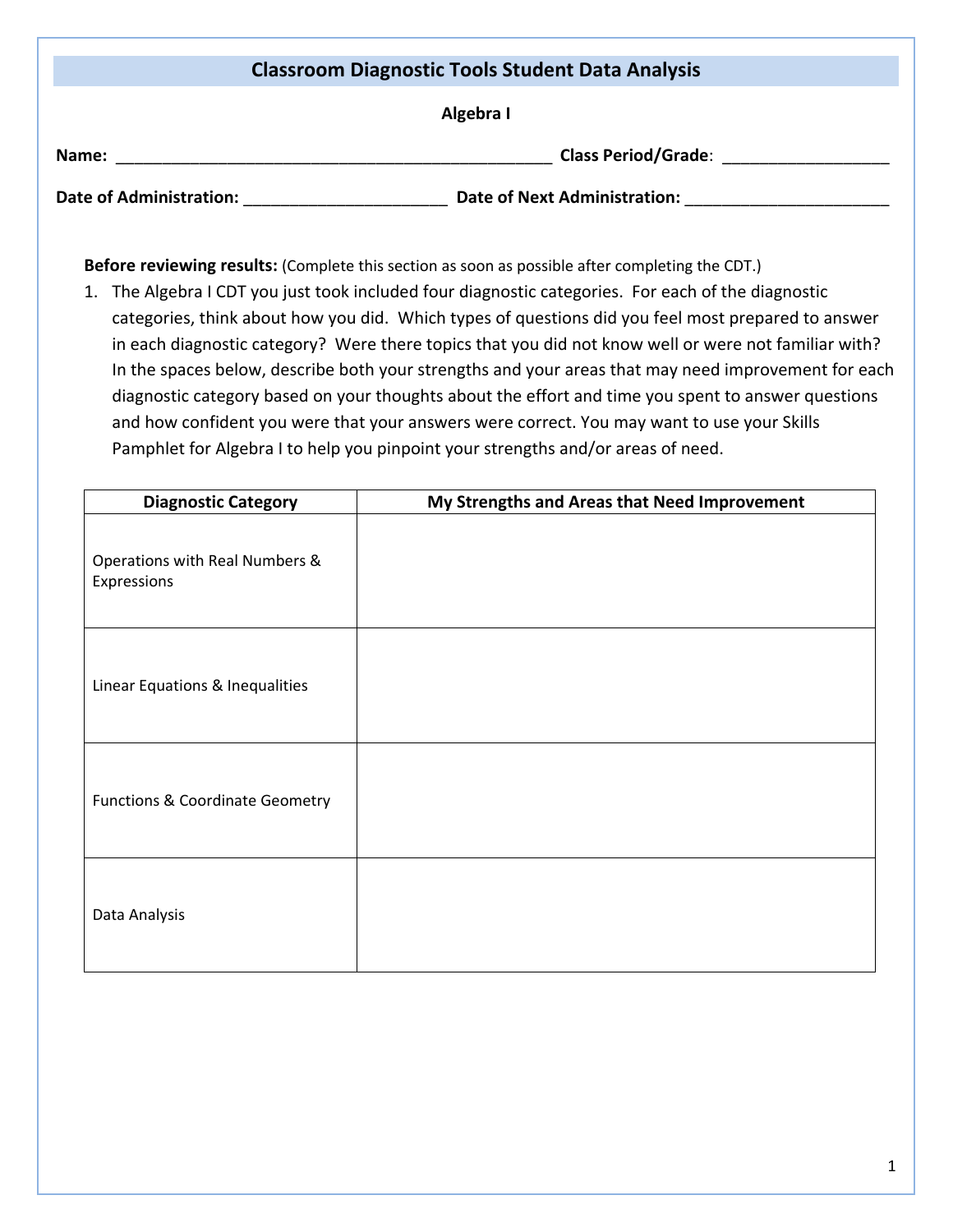## **Classroom Diagnostic Tools Student Data Analysis Algebra I Name:**  $\blacksquare$  **Name:**  $\blacksquare$   $\blacksquare$   $\blacksquare$   $\blacksquare$   $\blacksquare$   $\blacksquare$   $\blacksquare$   $\blacksquare$   $\blacksquare$   $\blacksquare$   $\blacksquare$   $\blacksquare$   $\blacksquare$   $\blacksquare$   $\blacksquare$   $\blacksquare$   $\blacksquare$   $\blacksquare$   $\blacksquare$   $\blacksquare$   $\blacksquare$   $\blacksquare$   $\blacksquare$   $\blacksquare$   $\blacksquare$   $\blacksquare$   $\blacksquare$   $\blacksquare$   $\bl$ **Date of Administration:** \_\_\_\_\_\_\_\_\_\_\_\_\_\_\_\_\_\_\_\_\_\_ **Date of Next Administration:** \_\_\_\_\_\_\_\_\_\_\_\_\_\_\_\_\_\_\_\_\_\_

**Before reviewing results:** (Complete this section as soon as possible after completing the CDT.)

1. The Algebra I CDT you just took included four diagnostic categories. For each of the diagnostic categories, think about how you did. Which types of questions did you feel most prepared to answer in each diagnostic category? Were there topics that you did not know well or were not familiar with? In the spaces below, describe both your strengths and your areas that may need improvement for each diagnostic category based on your thoughts about the effort and time you spent to answer questions and how confident you were that your answers were correct. You may want to use your Skills Pamphlet for Algebra I to help you pinpoint your strengths and/or areas of need.

| <b>Diagnostic Category</b>                    | My Strengths and Areas that Need Improvement |
|-----------------------------------------------|----------------------------------------------|
| Operations with Real Numbers &<br>Expressions |                                              |
| Linear Equations & Inequalities               |                                              |
| <b>Functions &amp; Coordinate Geometry</b>    |                                              |
| Data Analysis                                 |                                              |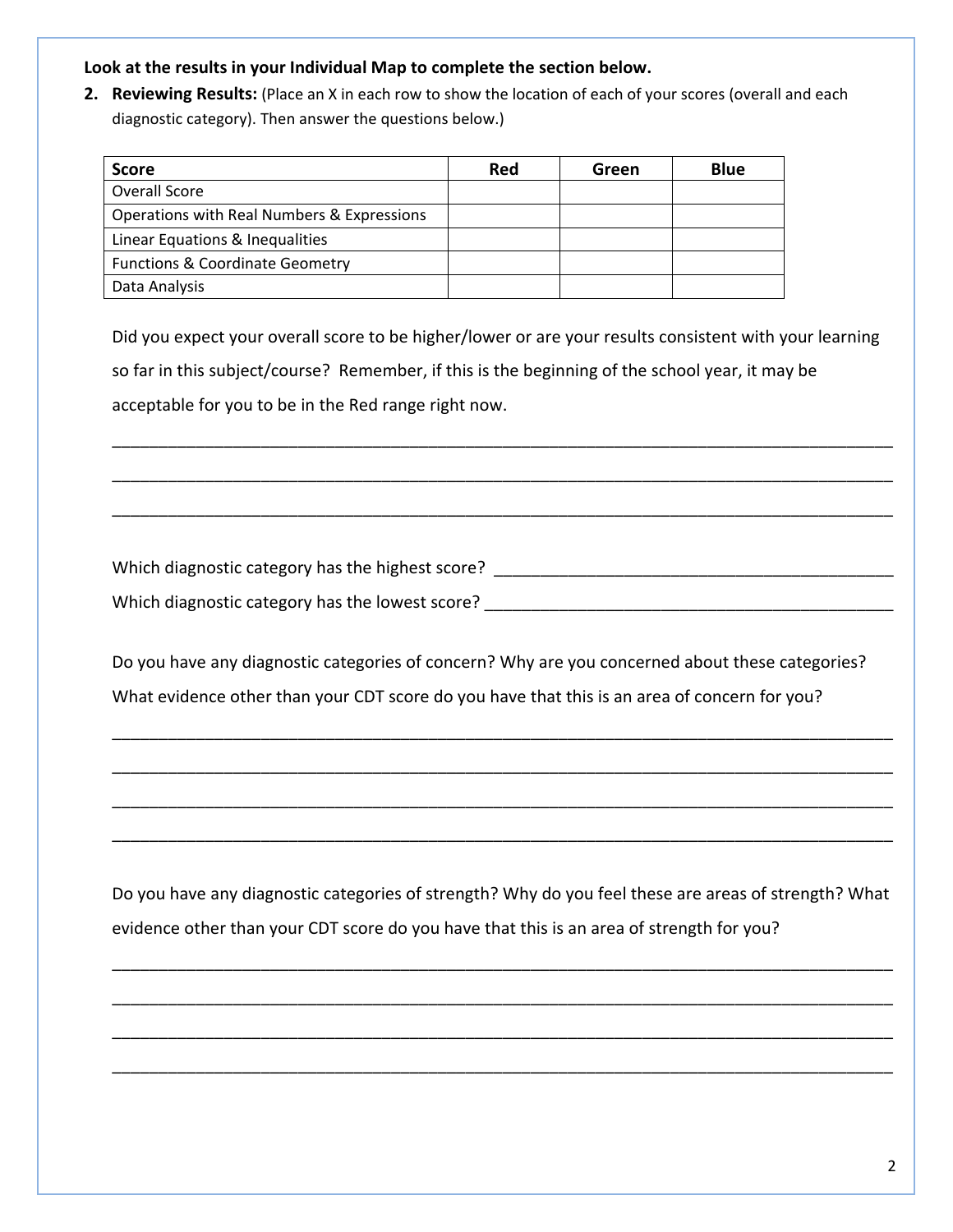## **Look at the results in your Individual Map to complete the section below.**

**2. Reviewing Results:** (Place an X in each row to show the location of each of your scores (overall and each diagnostic category). Then answer the questions below.)

| <b>Score</b>                               | Red | Green | <b>Blue</b> |
|--------------------------------------------|-----|-------|-------------|
| Overall Score                              |     |       |             |
| Operations with Real Numbers & Expressions |     |       |             |
| Linear Equations & Inequalities            |     |       |             |
| <b>Functions &amp; Coordinate Geometry</b> |     |       |             |
| Data Analysis                              |     |       |             |

Did you expect your overall score to be higher/lower or are your results consistent with your learning so far in this subject/course? Remember, if this is the beginning of the school year, it may be acceptable for you to be in the Red range right now.

\_\_\_\_\_\_\_\_\_\_\_\_\_\_\_\_\_\_\_\_\_\_\_\_\_\_\_\_\_\_\_\_\_\_\_\_\_\_\_\_\_\_\_\_\_\_\_\_\_\_\_\_\_\_\_\_\_\_\_\_\_\_\_\_\_\_\_\_\_\_\_\_\_\_\_\_\_\_\_\_\_\_\_\_

\_\_\_\_\_\_\_\_\_\_\_\_\_\_\_\_\_\_\_\_\_\_\_\_\_\_\_\_\_\_\_\_\_\_\_\_\_\_\_\_\_\_\_\_\_\_\_\_\_\_\_\_\_\_\_\_\_\_\_\_\_\_\_\_\_\_\_\_\_\_\_\_\_\_\_\_\_\_\_\_\_\_\_\_

\_\_\_\_\_\_\_\_\_\_\_\_\_\_\_\_\_\_\_\_\_\_\_\_\_\_\_\_\_\_\_\_\_\_\_\_\_\_\_\_\_\_\_\_\_\_\_\_\_\_\_\_\_\_\_\_\_\_\_\_\_\_\_\_\_\_\_\_\_\_\_\_\_\_\_\_\_\_\_\_\_\_\_\_

Which diagnostic category has the highest score? \_\_\_\_\_\_\_\_\_\_\_\_\_\_\_\_\_\_\_\_\_\_\_\_\_\_\_\_\_\_\_\_ Which diagnostic category has the lowest score?  $\blacksquare$ 

Do you have any diagnostic categories of concern? Why are you concerned about these categories? What evidence other than your CDT score do you have that this is an area of concern for you?

\_\_\_\_\_\_\_\_\_\_\_\_\_\_\_\_\_\_\_\_\_\_\_\_\_\_\_\_\_\_\_\_\_\_\_\_\_\_\_\_\_\_\_\_\_\_\_\_\_\_\_\_\_\_\_\_\_\_\_\_\_\_\_\_\_\_\_\_\_\_\_\_\_\_\_\_\_\_\_\_\_\_\_\_

\_\_\_\_\_\_\_\_\_\_\_\_\_\_\_\_\_\_\_\_\_\_\_\_\_\_\_\_\_\_\_\_\_\_\_\_\_\_\_\_\_\_\_\_\_\_\_\_\_\_\_\_\_\_\_\_\_\_\_\_\_\_\_\_\_\_\_\_\_\_\_\_\_\_\_\_\_\_\_\_\_\_\_\_

\_\_\_\_\_\_\_\_\_\_\_\_\_\_\_\_\_\_\_\_\_\_\_\_\_\_\_\_\_\_\_\_\_\_\_\_\_\_\_\_\_\_\_\_\_\_\_\_\_\_\_\_\_\_\_\_\_\_\_\_\_\_\_\_\_\_\_\_\_\_\_\_\_\_\_\_\_\_\_\_\_\_\_\_

\_\_\_\_\_\_\_\_\_\_\_\_\_\_\_\_\_\_\_\_\_\_\_\_\_\_\_\_\_\_\_\_\_\_\_\_\_\_\_\_\_\_\_\_\_\_\_\_\_\_\_\_\_\_\_\_\_\_\_\_\_\_\_\_\_\_\_\_\_\_\_\_\_\_\_\_\_\_\_\_\_\_\_\_

Do you have any diagnostic categories of strength? Why do you feel these are areas of strength? What evidence other than your CDT score do you have that this is an area of strength for you?

\_\_\_\_\_\_\_\_\_\_\_\_\_\_\_\_\_\_\_\_\_\_\_\_\_\_\_\_\_\_\_\_\_\_\_\_\_\_\_\_\_\_\_\_\_\_\_\_\_\_\_\_\_\_\_\_\_\_\_\_\_\_\_\_\_\_\_\_\_\_\_\_\_\_\_\_\_\_\_\_\_\_\_\_

\_\_\_\_\_\_\_\_\_\_\_\_\_\_\_\_\_\_\_\_\_\_\_\_\_\_\_\_\_\_\_\_\_\_\_\_\_\_\_\_\_\_\_\_\_\_\_\_\_\_\_\_\_\_\_\_\_\_\_\_\_\_\_\_\_\_\_\_\_\_\_\_\_\_\_\_\_\_\_\_\_\_\_\_

\_\_\_\_\_\_\_\_\_\_\_\_\_\_\_\_\_\_\_\_\_\_\_\_\_\_\_\_\_\_\_\_\_\_\_\_\_\_\_\_\_\_\_\_\_\_\_\_\_\_\_\_\_\_\_\_\_\_\_\_\_\_\_\_\_\_\_\_\_\_\_\_\_\_\_\_\_\_\_\_\_\_\_\_

\_\_\_\_\_\_\_\_\_\_\_\_\_\_\_\_\_\_\_\_\_\_\_\_\_\_\_\_\_\_\_\_\_\_\_\_\_\_\_\_\_\_\_\_\_\_\_\_\_\_\_\_\_\_\_\_\_\_\_\_\_\_\_\_\_\_\_\_\_\_\_\_\_\_\_\_\_\_\_\_\_\_\_\_